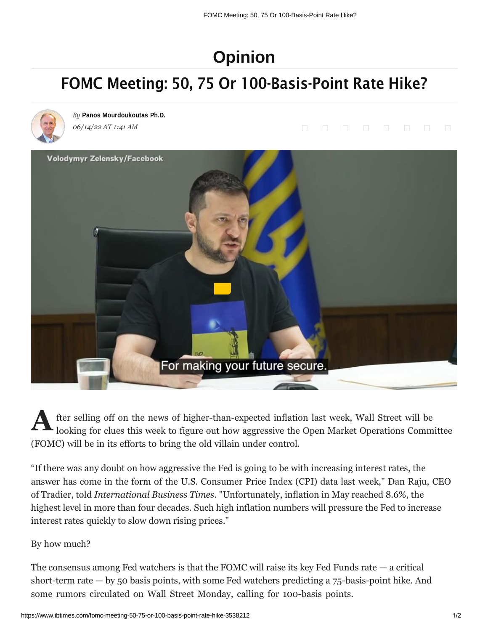## **[Opinion](https://www.ibtimes.com/opinion)**

## FOMC Meeting: 50, 75 Or 100-Basis-Point Rate Hike?



*By* **Panos [Mourdoukoutas](https://www.ibtimes.com/reporters/panos-mourdoukoutas) Ph.D.** *06/14/22 AT 1:41 AM*



fter selling off on the news of higher-than-expected [inflation](https://www.doordash.com/dasher/signup?utm_source=blisspoint-streaming&utm_medium=ott&utm_campaign=dx_us_ot_ct_bp_acq__xxxxxx_111111_%2B_ott-test_0) last week, Wall Street will be looking for clues this week to figure out how aggressive the Open Market [Operations](https://www.doordash.com/dasher/signup?utm_source=blisspoint-streaming&utm_medium=ott&utm_campaign=dx_us_ot_ct_bp_acq__xxxxxx_111111_%2B_ott-test_0) Committee (FOMC) will be in its efforts to bring the old villain under control. **A**

"If there was any doubt on how aggressive the Fed is going to be with increasing interest rates, the answer has come in the form of the U.S. Consumer Price Index (CPI) data last week," Dan Raju, CEO of Tradier, told *International Business Times*. "Unfortunately, inflation in May reached 8.6%, the highest level in more than four decades. Such high inflation numbers will pressure the Fed to increase interest rates quickly to slow down rising prices."

## By how much?

The consensus among Fed watchers is that the FOMC will raise its key Fed Funds rate  $-$  a critical short-term rate  $-$  by 50 basis points, with some Fed watchers predicting a  $75$ -basis-point hike. And some rumors circulated on Wall Street Monday, calling for 100-basis points.